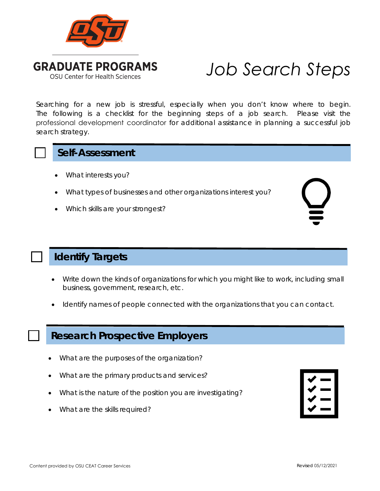

# *Job Search Steps*

Searching for a new job is stressful, especially when you don't know where to begin. The following is a checklist for the beginning steps of a job search. Please visit the professional development coordinator for additional assistance in planning a successful job search strategy.



#### **Self-Assessment**

- What interests you?
- What types of businesses and other organizations interest you?
- Which skills are your strongest?

### **Identify Targets**

- Write down the kinds of organizations for which you might like to work, including small business, government, research, etc.
- Identify names of people connected with the organizations that you can contact.

#### **Research Prospective Employers**

- What are the purposes of the organization?
- What are the primary products and services?
- What is the nature of the position you are investigating?
- What are the skills required?

| ✔ |  |
|---|--|
| V |  |
|   |  |
|   |  |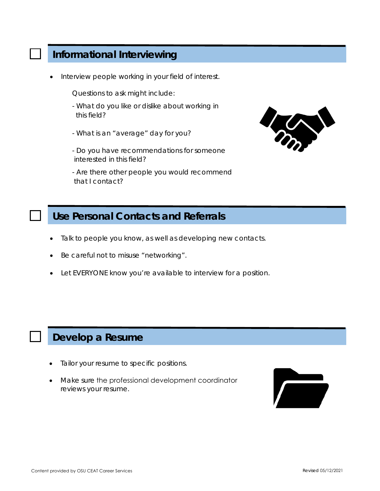#### **Informational Interviewing**

- Interview people working in your field of interest.
	- Questions to ask might include:
	- What do you like or dislike about working in this field?
	- What is an "average" day for you?
	- Do you have recommendations for someone interested in this field?
	- Are there other people you would recommend that I contact?



#### **Use Personal Contacts and Referrals**

- Talk to people you know, as well as developing new contacts.
- Be careful not to misuse "networking".
- Let EVERYONE know you're available to interview for a position.

#### **Develop a Resume**

- Tailor your resume to specific positions.
- Make sure the professional development coordinator reviews your resume.